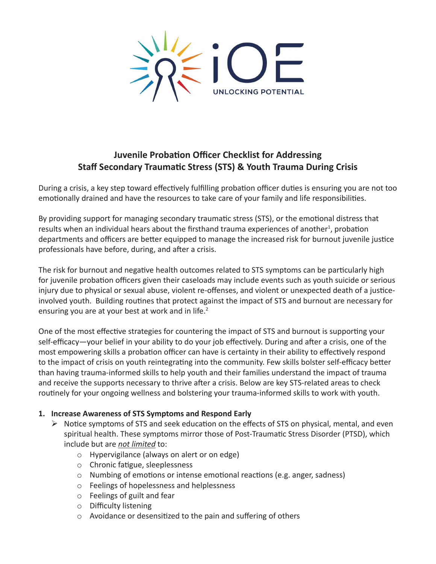

# **Juvenile Probation Officer Checklist for Addressing Staff Secondary Traumatic Stress (STS) & Youth Trauma During Crisis**

During a crisis, a key step toward effectively fulfilling probation officer duties is ensuring you are not too emotionally drained and have the resources to take care of your family and life responsibilities.

By providing support for managing secondary traumatic stress (STS), or the emotional distress that results when an individual hears about the firsthand trauma experiences of another<sup>1</sup>, probation departments and officers are better equipped to manage the increased risk for burnout juvenile justice professionals have before, during, and after a crisis.

The risk for burnout and negative health outcomes related to STS symptoms can be particularly high for juvenile probation officers given their caseloads may include events such as youth suicide or serious injury due to physical or sexual abuse, violent re-offenses, and violent or unexpected death of a justiceinvolved youth. Building routines that protect against the impact of STS and burnout are necessary for ensuring you are at your best at work and in life.<sup>2</sup>

One of the most effective strategies for countering the impact of STS and burnout is supporting your self-efficacy—your belief in your ability to do your job effectively. During and after a crisis, one of the most empowering skills a probation officer can have is certainty in their ability to effectively respond to the impact of crisis on youth reintegrating into the community. Few skills bolster self-efficacy better than having trauma-informed skills to help youth and their families understand the impact of trauma and receive the supports necessary to thrive after a crisis. Below are key STS-related areas to check routinely for your ongoing wellness and bolstering your trauma-informed skills to work with youth.

## **1. Increase Awareness of STS Symptoms and Respond Early**

- $\triangleright$  Notice symptoms of STS and seek education on the effects of STS on physical, mental, and even spiritual health. These symptoms mirror those of Post-Traumatic Stress Disorder (PTSD), which include but are *not limited* to:
	- o Hypervigilance (always on alert or on edge)
	- o Chronic fatigue, sleeplessness
	- o Numbing of emotions or intense emotional reactions (e.g. anger, sadness)
	- o Feelings of hopelessness and helplessness
	- o Feelings of guilt and fear
	- o Difficulty listening
	- o Avoidance or desensitized to the pain and suffering of others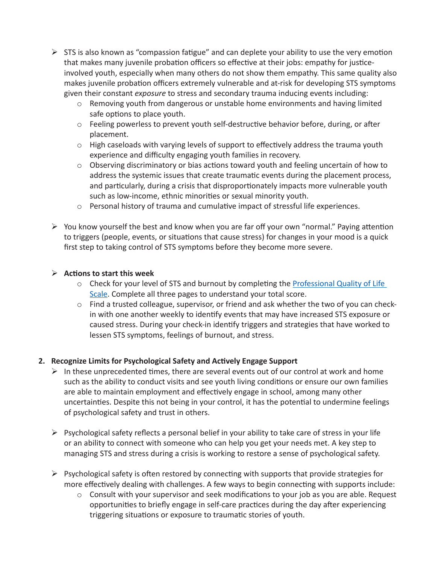- $\triangleright$  STS is also known as "compassion fatigue" and can deplete your ability to use the very emotion that makes many juvenile probation officers so effective at their jobs: empathy for justiceinvolved youth, especially when many others do not show them empathy. This same quality also makes juvenile probation officers extremely vulnerable and at-risk for developing STS symptoms given their constant *exposure* to stress and secondary trauma inducing events including:
	- o Removing youth from dangerous or unstable home environments and having limited safe options to place youth.
	- o Feeling powerless to prevent youth self-destructive behavior before, during, or after placement.
	- o High caseloads with varying levels of support to effectively address the trauma youth experience and difficulty engaging youth families in recovery.
	- o Observing discriminatory or bias actions toward youth and feeling uncertain of how to address the systemic issues that create traumatic events during the placement process, and particularly, during a crisis that disproportionately impacts more vulnerable youth such as low-income, ethnic minorities or sexual minority youth.
	- o Personal history of trauma and cumulative impact of stressful life experiences.
- $\triangleright$  You know yourself the best and know when you are far off your own "normal." Paying attention to triggers (people, events, or situations that cause stress) for changes in your mood is a quick first step to taking control of STS symptoms before they become more severe.

## $\triangleright$  Actions to start this week

- $\circ$  Check for your level of STS and burnout by completing the Professional Quality of Life Scale. Complete all three pages to understand your total score.
- $\circ$  Find a trusted colleague, supervisor, or friend and ask whether the two of you can checkin with one another weekly to identify events that may have increased STS exposure or caused stress. During your check-in identify triggers and strategies that have worked to lessen STS symptoms, feelings of burnout, and stress.

## **2. Recognize Limits for Psychological Safety and Actively Engage Support**

- $\triangleright$  In these unprecedented times, there are several events out of our control at work and home such as the ability to conduct visits and see youth living conditions or ensure our own families are able to maintain employment and effectively engage in school, among many other uncertainties. Despite this not being in your control, it has the potential to undermine feelings of psychological safety and trust in others.
- $\triangleright$  Psychological safety reflects a personal belief in your ability to take care of stress in your life or an ability to connect with someone who can help you get your needs met. A key step to managing STS and stress during a crisis is working to restore a sense of psychological safety.
- $\triangleright$  Psychological safety is often restored by connecting with supports that provide strategies for more effectively dealing with challenges. A few ways to begin connecting with supports include:
	- o Consult with your supervisor and seek modifications to your job as you are able. Request opportunities to briefly engage in self-care practices during the day after experiencing triggering situations or exposure to traumatic stories of youth.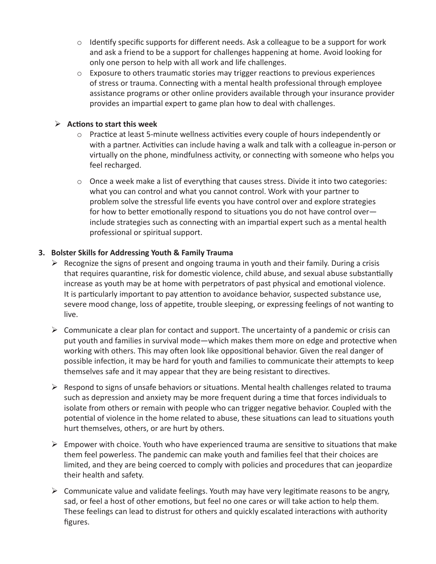- o Identify specific supports for different needs. Ask a colleague to be a support for work and ask a friend to be a support for challenges happening at home. Avoid looking for only one person to help with all work and life challenges.
- $\circ$  Exposure to others traumatic stories may trigger reactions to previous experiences of stress or trauma. Connecting with a mental health professional through employee assistance programs or other online providers available through your insurance provider provides an impartial expert to game plan how to deal with challenges.

## $\triangleright$  Actions to start this week

- o Practice at least 5-minute wellness activities every couple of hours independently or with a partner. Activities can include having a walk and talk with a colleague in-person or virtually on the phone, mindfulness activity, or connecting with someone who helps you feel recharged.
- $\circ$  Once a week make a list of everything that causes stress. Divide it into two categories: what you can control and what you cannot control. Work with your partner to problem solve the stressful life events you have control over and explore strategies for how to better emotionally respond to situations you do not have control over include strategies such as connecting with an impartial expert such as a mental health professional or spiritual support.

#### **3. Bolster Skills for Addressing Youth & Family Trauma**

- $\triangleright$  Recognize the signs of present and ongoing trauma in youth and their family. During a crisis that requires quarantine, risk for domestic violence, child abuse, and sexual abuse substantially increase as youth may be at home with perpetrators of past physical and emotional violence. It is particularly important to pay attention to avoidance behavior, suspected substance use, severe mood change, loss of appetite, trouble sleeping, or expressing feelings of not wanting to live.
- $\triangleright$  Communicate a clear plan for contact and support. The uncertainty of a pandemic or crisis can put youth and families in survival mode—which makes them more on edge and protective when working with others. This may often look like oppositional behavior. Given the real danger of possible infection, it may be hard for youth and families to communicate their attempts to keep themselves safe and it may appear that they are being resistant to directives.
- $\triangleright$  Respond to signs of unsafe behaviors or situations. Mental health challenges related to trauma such as depression and anxiety may be more frequent during a time that forces individuals to isolate from others or remain with people who can trigger negative behavior. Coupled with the potential of violence in the home related to abuse, these situations can lead to situations youth hurt themselves, others, or are hurt by others.
- $\triangleright$  Empower with choice. Youth who have experienced trauma are sensitive to situations that make them feel powerless. The pandemic can make youth and families feel that their choices are limited, and they are being coerced to comply with policies and procedures that can jeopardize their health and safety.
- $\triangleright$  Communicate value and validate feelings. Youth may have very legitimate reasons to be angry, sad, or feel a host of other emotions, but feel no one cares or will take action to help them. These feelings can lead to distrust for others and quickly escalated interactions with authority figures.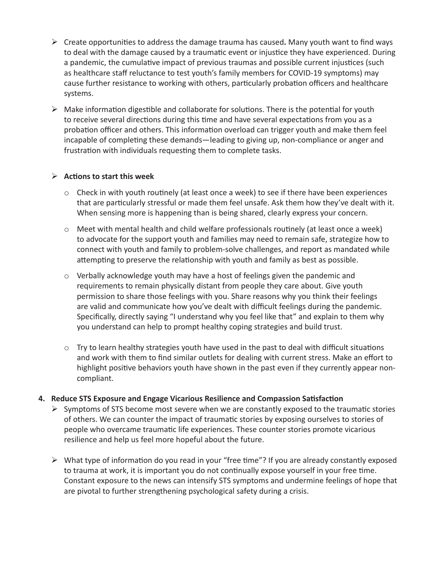- $\triangleright$  Create opportunities to address the damage trauma has caused. Many youth want to find ways to deal with the damage caused by a traumatic event or injustice they have experienced. During a pandemic, the cumulative impact of previous traumas and possible current injustices (such as healthcare staff reluctance to test youth's family members for COVID-19 symptoms) may cause further resistance to working with others, particularly probation officers and healthcare systems.
- $\triangleright$  Make information digestible and collaborate for solutions. There is the potential for youth to receive several directions during this time and have several expectations from you as a probation officer and others. This information overload can trigger youth and make them feel incapable of completing these demands—leading to giving up, non-compliance or anger and frustration with individuals requesting them to complete tasks.

#### $\triangleright$  Actions to start this week

- $\circ$  Check in with youth routinely (at least once a week) to see if there have been experiences that are particularly stressful or made them feel unsafe. Ask them how they've dealt with it. When sensing more is happening than is being shared, clearly express your concern.
- $\circ$  Meet with mental health and child welfare professionals routinely (at least once a week) to advocate for the support youth and families may need to remain safe, strategize how to connect with youth and family to problem-solve challenges, and report as mandated while attempting to preserve the relationship with youth and family as best as possible.
- o Verbally acknowledge youth may have a host of feelings given the pandemic and requirements to remain physically distant from people they care about. Give youth permission to share those feelings with you. Share reasons why you think their feelings are valid and communicate how you've dealt with difficult feelings during the pandemic. Specifically, directly saying "I understand why you feel like that" and explain to them why you understand can help to prompt healthy coping strategies and build trust.
- $\circ$  Try to learn healthy strategies youth have used in the past to deal with difficult situations and work with them to find similar outlets for dealing with current stress. Make an effort to highlight positive behaviors youth have shown in the past even if they currently appear noncompliant.

#### **4. Reduce STS Exposure and Engage Vicarious Resilience and Compassion Satisfaction**

- $\triangleright$  Symptoms of STS become most severe when we are constantly exposed to the traumatic stories of others. We can counter the impact of traumatic stories by exposing ourselves to stories of people who overcame traumatic life experiences. These counter stories promote vicarious resilience and help us feel more hopeful about the future.
- $\triangleright$  What type of information do you read in your "free time"? If you are already constantly exposed to trauma at work, it is important you do not continually expose yourself in your free time. Constant exposure to the news can intensify STS symptoms and undermine feelings of hope that are pivotal to further strengthening psychological safety during a crisis.